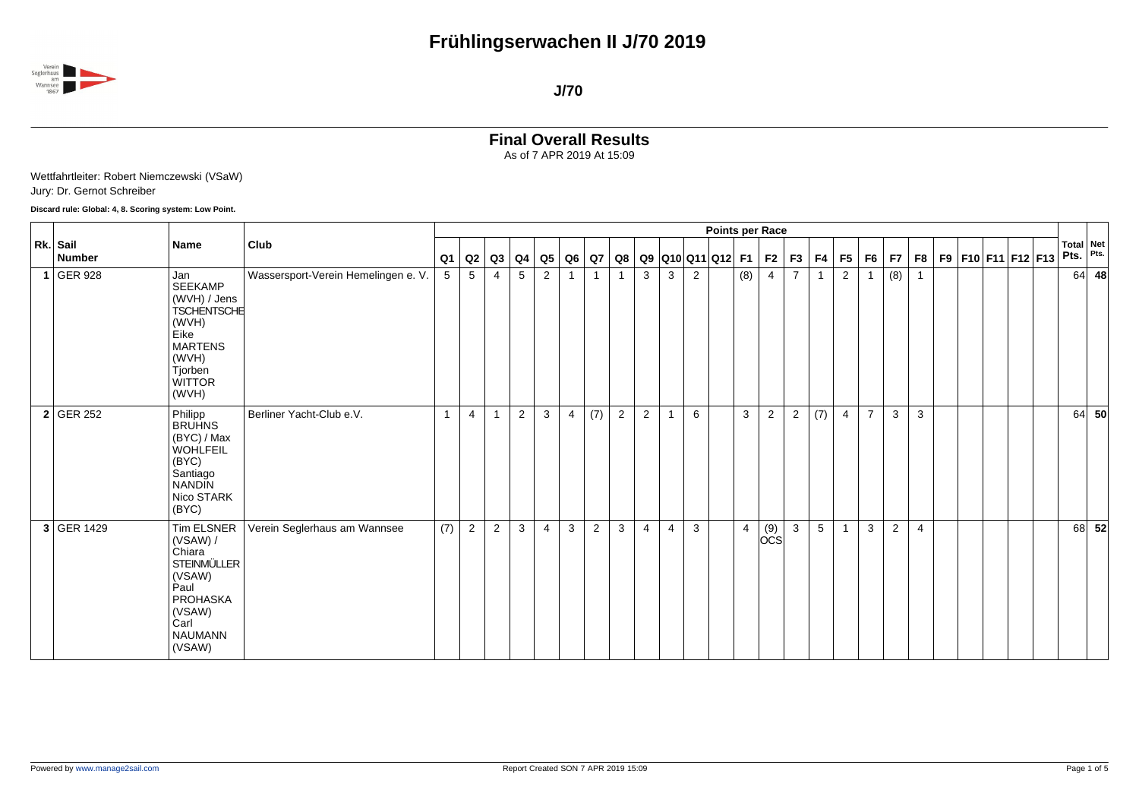

## **Final Overall Results** As of 7 APR 2019 At 15:09

Wettfahrtleiter: Robert Niemczewski (VSaW) Jury: Dr. Gernot Schreiber

## **Discard rule: Global: 4, 8. Scoring system: Low Point.**

|                    |                                                                                                                                              |                                     |              |                |                |                |                |                |                |    |                |                |   | Points per Race                  |                |                                                   |                |              |                |                |                |    |  |                    |  |      |                          |
|--------------------|----------------------------------------------------------------------------------------------------------------------------------------------|-------------------------------------|--------------|----------------|----------------|----------------|----------------|----------------|----------------|----|----------------|----------------|---|----------------------------------|----------------|---------------------------------------------------|----------------|--------------|----------------|----------------|----------------|----|--|--------------------|--|------|--------------------------|
| Rk. Sail<br>Number | Name                                                                                                                                         | Club                                | Q1           | Q2             | Q3             | Q4             | Q5             | Q6             | <b>Q7</b>      | Q8 |                |                |   | Q9  Q10  Q11  Q12   F1   F2   F3 |                |                                                   |                | F4           | F5             | F <sub>6</sub> | F7             | F8 |  | F9 F10 F11 F12 F13 |  | Pts. | <b>Total Net</b><br>Pts. |
| $1$ GER 928        | Jan<br><b>SEEKAMP</b><br>(WVH) / Jens<br><b>TSCHENTSCHE</b><br>(WVH)<br>Eike<br><b>MARTENS</b><br>(WVH)<br>Tjorben<br><b>WITTOR</b><br>(WVH) | Wassersport-Verein Hemelingen e. V. | 5            | 5              | $\overline{4}$ | 5              | 2              |                |                |    | 3              | 3              | 2 |                                  | (8)            | $\overline{4}$                                    | $\overline{7}$ | $\mathbf{1}$ | 2              | $\overline{1}$ | (8)            |    |  |                    |  | 64   | 48                       |
| $2$ GER 252        | Philipp<br><b>BRUHNS</b><br>(BYC) / Max<br><b>WOHLFEIL</b><br>(BYC)<br>Santiago<br><b>NANDIN</b><br>Nico STARK<br>(BYC)                      | Berliner Yacht-Club e.V.            | $\mathbf{1}$ | $\overline{4}$ | $\mathbf{1}$   | $\overline{2}$ | 3              | $\overline{4}$ | (7)            | 2  | 2              |                | 6 |                                  | $\mathbf{3}$   | $\overline{2}$                                    | 2              | (7)          | $\overline{4}$ | $\overline{7}$ | 3              | 3  |  |                    |  | 64   | - 50                     |
| 3 GER 1429         | Tim ELSNER<br>(VSAW) /<br>Chiara<br><b>STEINMÜLLER</b><br>(VSAW)<br>Paul<br>PROHASKA<br>(VSAW)<br>Carl<br><b>NAUMANN</b><br>(VSAW)           | Verein Seglerhaus am Wannsee        | (7)          | 2              | $\overline{2}$ | 3              | $\overline{4}$ | 3              | $\overline{2}$ | 3  | $\overline{4}$ | $\overline{4}$ | 3 |                                  | $\overline{4}$ | $\begin{bmatrix} (9) \\ \text{OCS} \end{bmatrix}$ | $\mathbf{3}$   | 5            |                | 3              | $\overline{2}$ | 4  |  |                    |  | 68   | 52                       |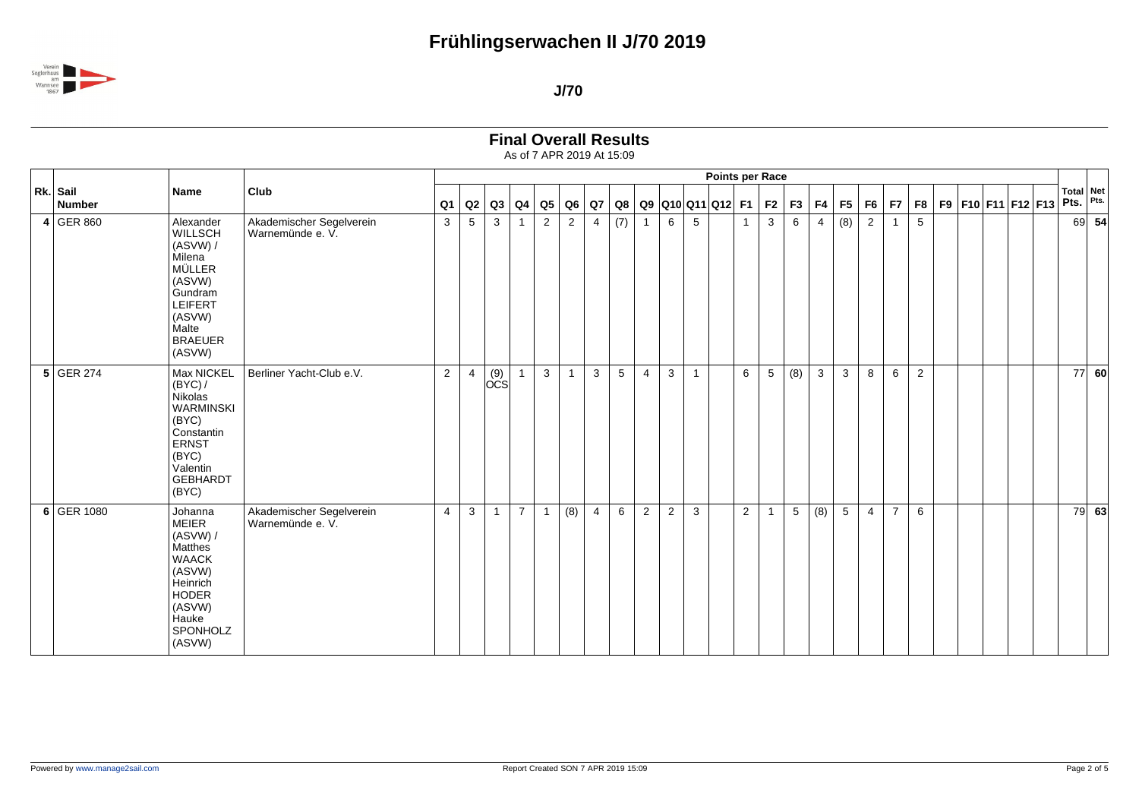

| <b>Final Overall Results</b> |
|------------------------------|
|------------------------------|

|                           |                                                                                                                                              |                                              | <b>Points per Race</b><br> F5 F6 <br>F9 F10 F11 F12 F13<br>$Q3$ $Q4$<br>Q5<br>Q6 Q7<br>$Q8   Q9   Q10   Q11   Q12   F1   F2   F3  $<br>F4<br>F7<br>F8<br>Q2<br>Q1<br>4<br>$\mathbf{1}$ |                |                                                   |                |                |                  |                |     |                |                |              |  |                |                 |     |                |                |                |                |   |  |  |                          |         |
|---------------------------|----------------------------------------------------------------------------------------------------------------------------------------------|----------------------------------------------|----------------------------------------------------------------------------------------------------------------------------------------------------------------------------------------|----------------|---------------------------------------------------|----------------|----------------|------------------|----------------|-----|----------------|----------------|--------------|--|----------------|-----------------|-----|----------------|----------------|----------------|----------------|---|--|--|--------------------------|---------|
| Rk. Sail<br><b>Number</b> | <b>Name</b>                                                                                                                                  | Club                                         |                                                                                                                                                                                        |                |                                                   |                |                |                  |                |     |                |                |              |  |                |                 |     |                |                |                |                |   |  |  | <b>Total Net</b><br>Pts. | Pts.    |
| $4$ GER 860               | Alexander<br>WILLSCH<br>(ASVW) /<br>Milena<br><b>MÜLLER</b><br>(ASVW)<br>Gundram<br>LEIFERT<br>(ASVW)<br>Malte<br><b>BRAEUER</b><br>(ASVW)   | Akademischer Segelverein<br>Warnemünde e. V. | $\mathbf{3}$                                                                                                                                                                           | 5              | 3                                                 |                | $\overline{2}$ | $\overline{2}$   |                | (7) | $\mathbf{1}$   | 6              | 5            |  |                | 3               | 6   | $\overline{4}$ | (8)            | $\overline{2}$ | $\overline{1}$ | 5 |  |  | 69                       | 54      |
| $5$ GER 274               | Max NICKEL<br>(BYC) /<br>Nikolas<br><b>WARMINSKI</b><br>(BYC)<br>Constantin<br><b>ERNST</b><br>(BYC)<br>Valentin<br><b>GEBHARDT</b><br>(BYC) | Berliner Yacht-Club e.V.                     | $\overline{2}$                                                                                                                                                                         | $\overline{4}$ | $\begin{vmatrix} (9) \\ \text{OCS} \end{vmatrix}$ |                | 3              | $\overline{1}$   | $\mathbf{3}$   | 5   | $\overline{4}$ | 3              | $\mathbf{1}$ |  | 6              | $5\phantom{.0}$ | (8) | $\mathbf{3}$   | 3 <sup>1</sup> | 8              | 6              | 2 |  |  | 77                       | 60      |
| 6 GER 1080                | Johanna<br><b>MEIER</b><br>(ASVW) /<br>Matthes<br><b>WAACK</b><br>(ASVW)<br>Heinrich<br>HODER<br>(ASVW)<br>Hauke<br>SPONHOLZ<br>(ASVW)       | Akademischer Segelverein<br>Warnemünde e. V. | $\overline{4}$                                                                                                                                                                         | 3              | $\mathbf{1}$                                      | $\overline{7}$ | $\overline{1}$ | $\overline{(8)}$ | $\overline{4}$ | 6   | $\overline{2}$ | $\overline{c}$ | $\mathbf{3}$ |  | $\overline{2}$ | $\overline{1}$  | 5   | (8)            | 5 <sup>5</sup> | $\overline{4}$ | $\overline{7}$ | 6 |  |  |                          | $79$ 63 |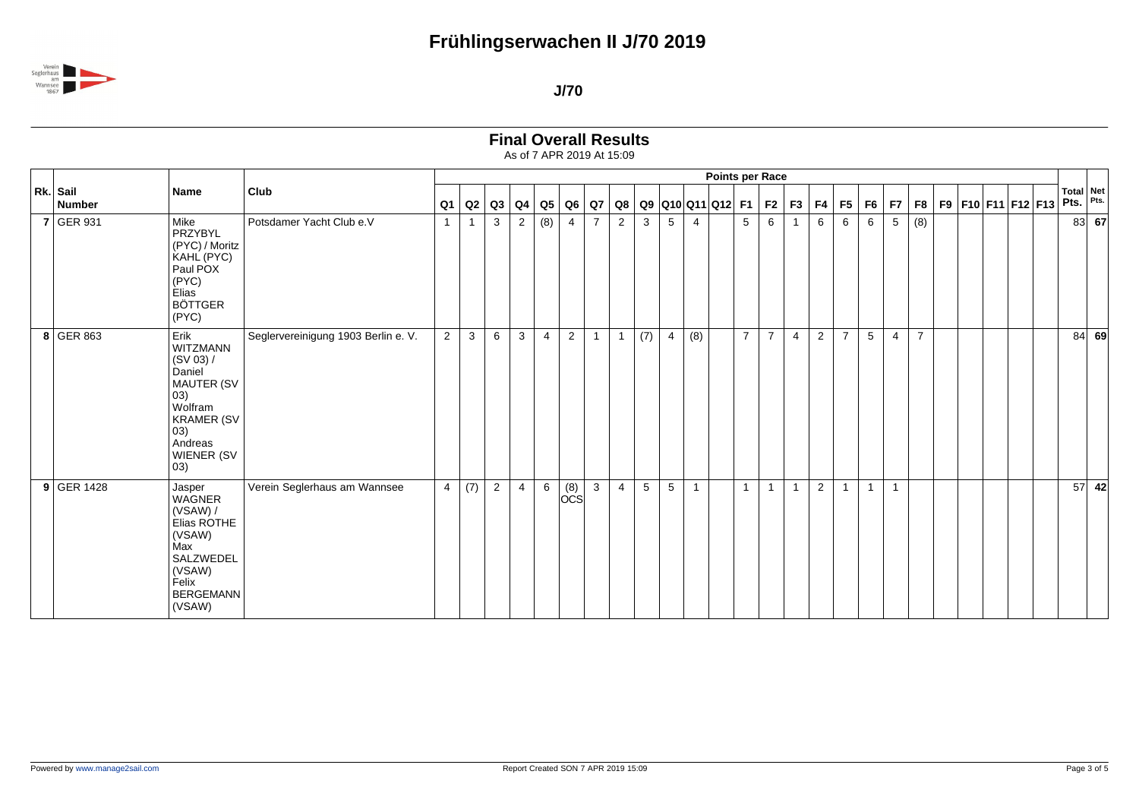

**Final Overall Results**

|                           |                                                                                                                                                                       |                                     |                |              |                |                |                |                                        |                |                |            |   |                | Points per Race       |                |                |                |                |                         |                |                |                |  |                    |  |      |                          |
|---------------------------|-----------------------------------------------------------------------------------------------------------------------------------------------------------------------|-------------------------------------|----------------|--------------|----------------|----------------|----------------|----------------------------------------|----------------|----------------|------------|---|----------------|-----------------------|----------------|----------------|----------------|----------------|-------------------------|----------------|----------------|----------------|--|--------------------|--|------|--------------------------|
| Rk. Sail<br><b>Number</b> | <b>Name</b>                                                                                                                                                           | Club                                | Q <sub>1</sub> | Q2           |                | $Q3$ $Q4$      | Q5             | Q6                                     |                | $Q7$ $Q8$      |            |   |                | Q9  Q10  Q11  Q12  F1 |                |                | F2 F3          | F4             | F5   F6                 |                | F7             | F8             |  | F9 F10 F11 F12 F13 |  | Pts. | <b>Total Net</b><br>Pts. |
| $7$ GER 931               | Mike<br>PRZYBYL<br>(PYC) / Moritz<br>KAHL (PYC)<br>Paul POX<br>(PYC)<br>Elias <sup>1</sup><br><b>BÖTTGER</b><br>(PYC)                                                 | Potsdamer Yacht Club e.V            | $\overline{1}$ | -1           | $\mathbf{3}$   | $\overline{2}$ | (8)            | $\overline{4}$                         | $\overline{7}$ | 2              | 3          | 5 | $\overline{4}$ |                       | 5              | 6              |                | 6              | 6                       | 6              | 5              | (8)            |  |                    |  |      | $83 $ 67                 |
| 8 GER 863                 | Erik<br>WITZMANN<br>(SV 03) /<br>Daniel<br><b>MAUTER (SV</b><br>$ 03\rangle$<br>Wolfram<br><b>KRAMER (SV</b><br>$ 03\rangle$<br>Andreas<br>WIENER (SV<br>$ 03\rangle$ | Seglervereinigung 1903 Berlin e. V. | $\overline{2}$ | $\mathbf{3}$ | 6              | $\mathbf{3}$   | $\overline{4}$ | $\overline{2}$                         | $\mathbf{1}$   | $\overline{1}$ | (7)        | 4 | (8)            |                       | $\overline{7}$ | $\overline{7}$ | $\overline{4}$ | $\overline{2}$ | $\overline{7}$          | 5              | $\overline{4}$ | $\overline{7}$ |  |                    |  |      | 84   69                  |
| $9$ GER 1428              | Jasper<br>WAGNER<br>(VSAW) /<br>Elias ROTHE<br>(VSAW)<br>Max<br>SALZWEDEL<br>(VSAW)<br>Felix<br><b>BERGEMANN</b><br>(VSAW)                                            | Verein Seglerhaus am Wannsee        |                | $4 \mid (7)$ | $\overline{2}$ | 4              | 6              | $\overline{\overset{(8)}{\text{OCS}}}$ | $\mathbf{3}$   | $\overline{4}$ | $\sqrt{5}$ | 5 | $\overline{ }$ |                       | $\mathbf{1}$   | $\overline{1}$ | $\overline{1}$ | $\overline{2}$ | $\overline{\mathbf{1}}$ | $\overline{1}$ | $\overline{1}$ |                |  |                    |  | 57   | 42                       |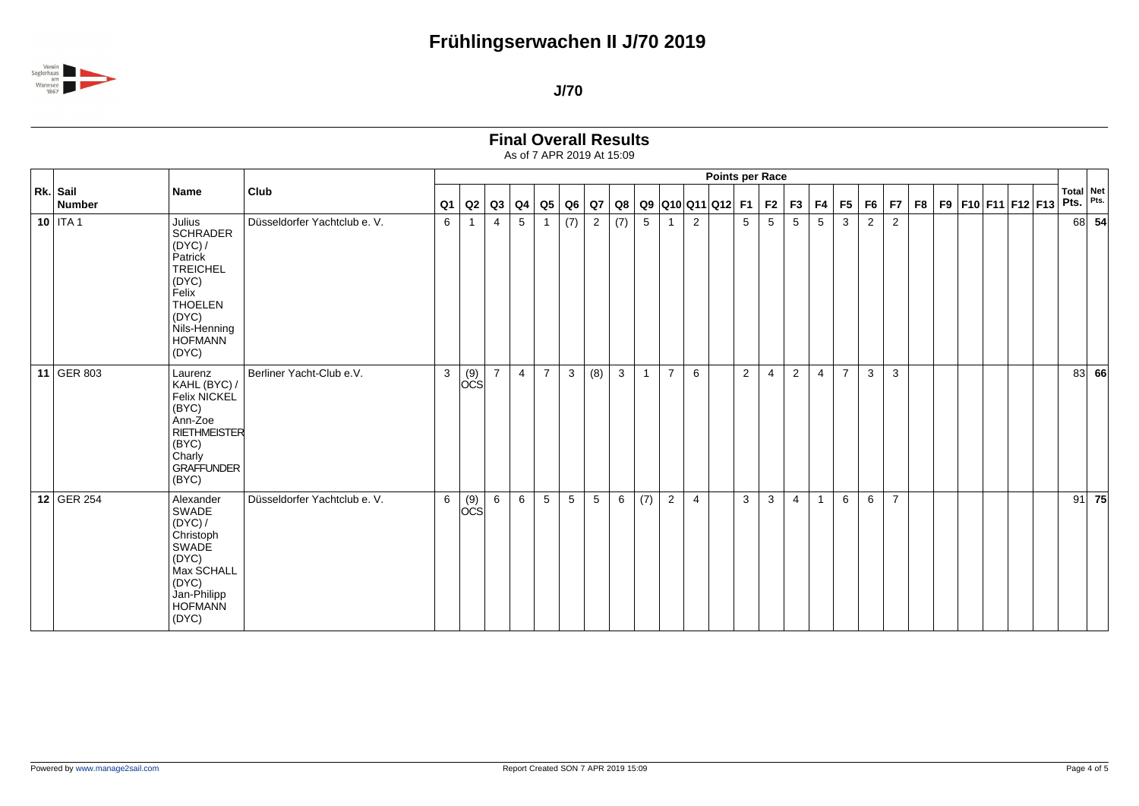

| <b>Final Overall Results</b> |  |
|------------------------------|--|
|------------------------------|--|

|                    |                                                                                                                                                            |                              |              |                                                   |                |                |                |                 |                 |              |              |                |                       | <b>Points per Race</b> |                 |                 |                  |                |                |                |                |                |  |                    |  |                          |      |
|--------------------|------------------------------------------------------------------------------------------------------------------------------------------------------------|------------------------------|--------------|---------------------------------------------------|----------------|----------------|----------------|-----------------|-----------------|--------------|--------------|----------------|-----------------------|------------------------|-----------------|-----------------|------------------|----------------|----------------|----------------|----------------|----------------|--|--------------------|--|--------------------------|------|
| Rk. Sail<br>Number | Name                                                                                                                                                       | Club                         | Q1           | Q2                                                |                | $Q3$ $Q4$      | $\mathsf{Q}5$  |                 | $Q6$ $Q7$       | Q8           |              |                | Q9  Q10  Q11  Q12  F1 |                        |                 | $F2$ $F3$       |                  | F4             | F5             | F <sub>6</sub> | F7             | F <sub>8</sub> |  | F9 F10 F11 F12 F13 |  | <b>Total Net</b><br>Pts. | Pts. |
| $10$ ITA 1         | Julius<br><b>SCHRADER</b><br>(DYC) /<br>Patrick<br><b>TREICHEL</b><br>(DYC)<br>Felix<br><b>THOELEN</b><br>(DYC)<br>Nils-Henning<br><b>HOFMANN</b><br>(DYC) | Düsseldorfer Yachtclub e. V. | 6            | $\mathbf 1$                                       | 4              | 5              |                | (7)             | $\overline{2}$  | (7)          | 5            |                | $\overline{2}$        |                        | $5\overline{)}$ | $5\phantom{.0}$ | 5                | 5              | $\mathbf{3}$   | $\overline{2}$ | $\overline{2}$ |                |  |                    |  | 68                       | 54   |
| 11 GER 803         | Laurenz<br>KAHL (BYC) /<br>Felix NICKEL<br>(BYC)<br>Ann-Zoe<br><b>RIETHMEISTER</b><br>(BYC)<br>Charly<br><b>GRAFFUNDER</b><br>(BYC)                        | Berliner Yacht-Club e.V.     | $\mathbf{3}$ | $\begin{bmatrix} (9) \\ \text{OCS} \end{bmatrix}$ | $\overline{7}$ | $\overline{4}$ | $\overline{7}$ | $\mathbf{3}$    | (8)             | $\mathbf{3}$ | $\mathbf{1}$ | $\overline{7}$ | 6                     |                        | $\overline{2}$  | 4               | $\boldsymbol{2}$ | $\overline{4}$ | $\overline{7}$ | 3              | $\mathbf{3}$   |                |  |                    |  | 83                       | 66   |
| 12 GER 254         | Alexander<br>SWADE<br>(DYC) /<br>Christoph<br>SWADE<br>(DYC)<br>Max SCHALL<br>(DYC)<br>Jan-Philipp<br><b>HOFMANN</b><br>(DYC)                              | Düsseldorfer Yachtclub e. V. | 6            | (9)<br><b>OCS</b>                                 | 6              | 6              | 5              | $5\phantom{.0}$ | $5\phantom{.0}$ | 6            | (7)          | $\overline{2}$ | $\overline{4}$        |                        | 3               | 3               | $\overline{4}$   | $\mathbf{1}$   | 6              | 6              | $\overline{7}$ |                |  |                    |  | 91                       | 75   |